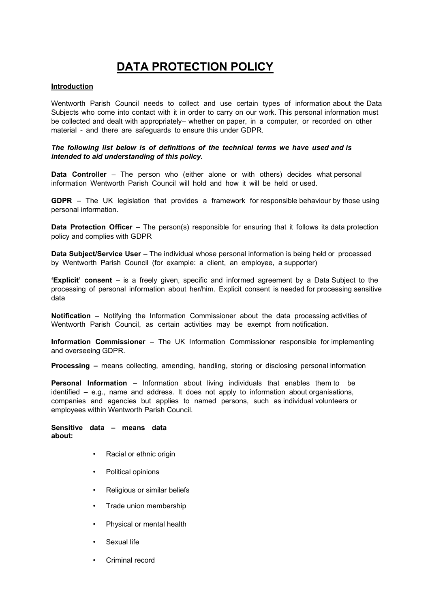# DATA PROTECTION POLICY

## Introduction

Wentworth Parish Council needs to collect and use certain types of information about the Data Subjects who come into contact with it in order to carry on our work. This personal information must be collected and dealt with appropriately– whether on paper, in a computer, or recorded on other material - and there are safeguards to ensure this under GDPR.

# The following list below is of definitions of the technical terms we have used and is intended to aid understanding of this policy.

Data Controller – The person who (either alone or with others) decides what personal information Wentworth Parish Council will hold and how it will be held or used.

GDPR – The UK legislation that provides a framework for responsible behaviour by those using personal information.

Data Protection Officer – The person(s) responsible for ensuring that it follows its data protection policy and complies with GDPR

Data Subject/Service User – The individual whose personal information is being held or processed by Wentworth Parish Council (for example: a client, an employee, a supporter)

'Explicit' consent – is a freely given, specific and informed agreement by a Data Subject to the processing of personal information about her/him. Explicit consent is needed for processing sensitive data

Notification – Notifying the Information Commissioner about the data processing activities of Wentworth Parish Council, as certain activities may be exempt from notification.

Information Commissioner – The UK Information Commissioner responsible for implementing and overseeing GDPR.

Processing – means collecting, amending, handling, storing or disclosing personal information

Personal Information – Information about living individuals that enables them to be identified – e.g., name and address. It does not apply to information about organisations, companies and agencies but applies to named persons, such as individual volunteers or employees within Wentworth Parish Council.

## Sensitive data – means data about:

- Racial or ethnic origin
- Political opinions
- Religious or similar beliefs
- Trade union membership
- Physical or mental health
- Sexual life
- Criminal record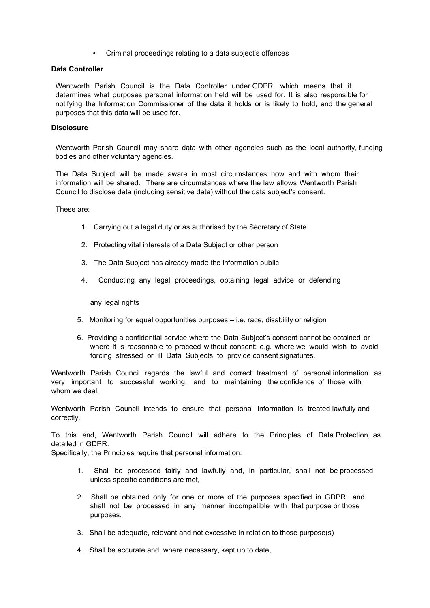• Criminal proceedings relating to a data subject's offences

# Data Controller

Wentworth Parish Council is the Data Controller under GDPR, which means that it determines what purposes personal information held will be used for. It is also responsible for notifying the Information Commissioner of the data it holds or is likely to hold, and the general purposes that this data will be used for.

# **Disclosure**

Wentworth Parish Council may share data with other agencies such as the local authority, funding bodies and other voluntary agencies.

The Data Subject will be made aware in most circumstances how and with whom their information will be shared. There are circumstances where the law allows Wentworth Parish Council to disclose data (including sensitive data) without the data subject's consent.

These are:

- 1. Carrying out a legal duty or as authorised by the Secretary of State
- 2. Protecting vital interests of a Data Subject or other person
- 3. The Data Subject has already made the information public
- 4. Conducting any legal proceedings, obtaining legal advice or defending

any legal rights

- 5. Monitoring for equal opportunities purposes i.e. race, disability or religion
- 6. Providing a confidential service where the Data Subject's consent cannot be obtained or where it is reasonable to proceed without consent: e.g. where we would wish to avoid forcing stressed or ill Data Subjects to provide consent signatures.

Wentworth Parish Council regards the lawful and correct treatment of personal information as very important to successful working, and to maintaining the confidence of those with whom we deal.

Wentworth Parish Council intends to ensure that personal information is treated lawfully and correctly.

To this end, Wentworth Parish Council will adhere to the Principles of Data Protection, as detailed in GDPR.

Specifically, the Principles require that personal information:

- 1. Shall be processed fairly and lawfully and, in particular, shall not be processed unless specific conditions are met,
- 2. Shall be obtained only for one or more of the purposes specified in GDPR, and shall not be processed in any manner incompatible with that purpose or those purposes,
- 3. Shall be adequate, relevant and not excessive in relation to those purpose(s)
- 4. Shall be accurate and, where necessary, kept up to date,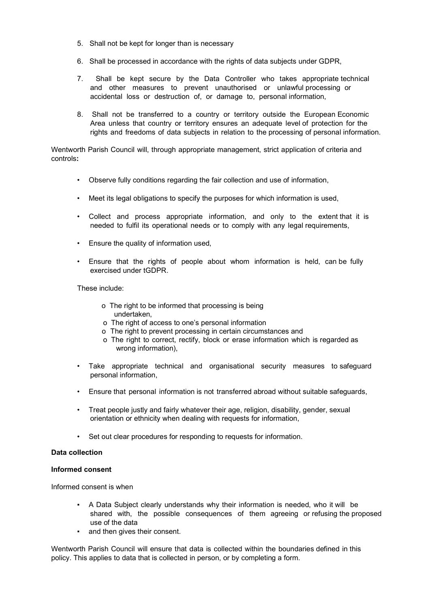- 5. Shall not be kept for longer than is necessary
- 6. Shall be processed in accordance with the rights of data subjects under GDPR,
- 7. Shall be kept secure by the Data Controller who takes appropriate technical and other measures to prevent unauthorised or unlawful processing or accidental loss or destruction of, or damage to, personal information,
- 8. Shall not be transferred to a country or territory outside the European Economic Area unless that country or territory ensures an adequate level of protection for the rights and freedoms of data subjects in relation to the processing of personal information.

Wentworth Parish Council will, through appropriate management, strict application of criteria and controls:

- Observe fully conditions regarding the fair collection and use of information,
- Meet its legal obligations to specify the purposes for which information is used,
- Collect and process appropriate information, and only to the extent that it is needed to fulfil its operational needs or to comply with any legal requirements,
- Ensure the quality of information used,
- Ensure that the rights of people about whom information is held, can be fully exercised under tGDPR.

These include:

- o The right to be informed that processing is being undertaken,
- o The right of access to one's personal information
- o The right to prevent processing in certain circumstances and
- o The right to correct, rectify, block or erase information which is regarded as wrong information),
- Take appropriate technical and organisational security measures to safeguard personal information,
- Ensure that personal information is not transferred abroad without suitable safeguards,
- Treat people justly and fairly whatever their age, religion, disability, gender, sexual orientation or ethnicity when dealing with requests for information,
- Set out clear procedures for responding to requests for information.

## Data collection

# Informed consent

Informed consent is when

- A Data Subject clearly understands why their information is needed, who it will be shared with, the possible consequences of them agreeing or refusing the proposed use of the data
- and then gives their consent.

Wentworth Parish Council will ensure that data is collected within the boundaries defined in this policy. This applies to data that is collected in person, or by completing a form.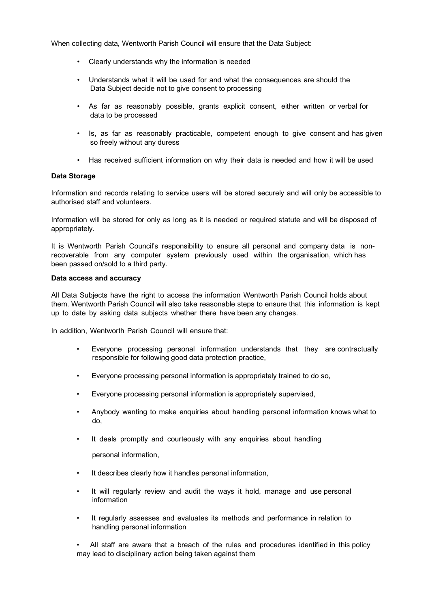When collecting data, Wentworth Parish Council will ensure that the Data Subject:

- Clearly understands why the information is needed
- Understands what it will be used for and what the consequences are should the Data Subject decide not to give consent to processing
- As far as reasonably possible, grants explicit consent, either written or verbal for data to be processed
- Is, as far as reasonably practicable, competent enough to give consent and has given so freely without any duress
- Has received sufficient information on why their data is needed and how it will be used

## Data Storage

Information and records relating to service users will be stored securely and will only be accessible to authorised staff and volunteers.

Information will be stored for only as long as it is needed or required statute and will be disposed of appropriately.

It is Wentworth Parish Council's responsibility to ensure all personal and company data is nonrecoverable from any computer system previously used within the organisation, which has been passed on/sold to a third party.

#### Data access and accuracy

All Data Subjects have the right to access the information Wentworth Parish Council holds about them. Wentworth Parish Council will also take reasonable steps to ensure that this information is kept up to date by asking data subjects whether there have been any changes.

In addition, Wentworth Parish Council will ensure that:

- Everyone processing personal information understands that they are contractually responsible for following good data protection practice,
- Everyone processing personal information is appropriately trained to do so,
- Everyone processing personal information is appropriately supervised,
- Anybody wanting to make enquiries about handling personal information knows what to do,
- It deals promptly and courteously with any enquiries about handling

personal information,

- It describes clearly how it handles personal information,
- It will regularly review and audit the ways it hold, manage and use personal information
- It regularly assesses and evaluates its methods and performance in relation to handling personal information

• All staff are aware that a breach of the rules and procedures identified in this policy may lead to disciplinary action being taken against them